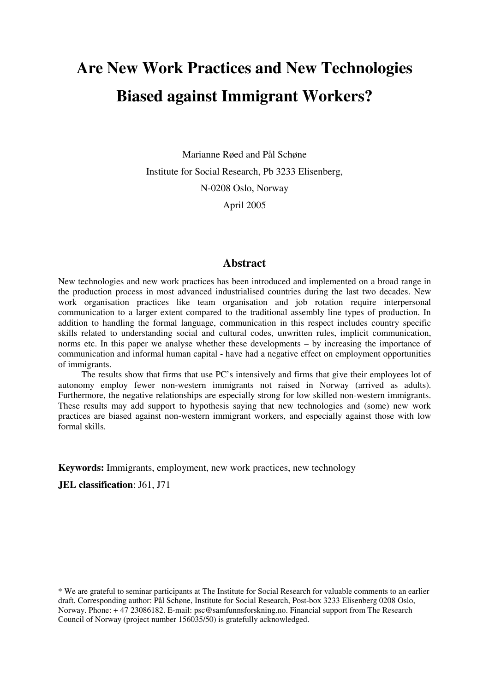# **Are New Work Practices and New Technologies Biased against Immigrant Workers?**

Marianne Røed and Pål Schøne Institute for Social Research, Pb 3233 Elisenberg, N-0208 Oslo, Norway April 2005

## **Abstract**

New technologies and new work practices has been introduced and implemented on a broad range in the production process in most advanced industrialised countries during the last two decades. New work organisation practices like team organisation and job rotation require interpersonal communication to a larger extent compared to the traditional assembly line types of production. In addition to handling the formal language, communication in this respect includes country specific skills related to understanding social and cultural codes, unwritten rules, implicit communication, norms etc. In this paper we analyse whether these developments – by increasing the importance of communication and informal human capital - have had a negative effect on employment opportunities of immigrants.

 The results show that firms that use PC's intensively and firms that give their employees lot of autonomy employ fewer non-western immigrants not raised in Norway (arrived as adults). Furthermore, the negative relationships are especially strong for low skilled non-western immigrants. These results may add support to hypothesis saying that new technologies and (some) new work practices are biased against non-western immigrant workers, and especially against those with low formal skills.

**Keywords:** Immigrants, employment, new work practices, new technology

**JEL classification**: J61, J71

\* We are grateful to seminar participants at The Institute for Social Research for valuable comments to an earlier draft. Corresponding author: Pål Schøne, Institute for Social Research, Post-box 3233 Elisenberg 0208 Oslo, Norway. Phone: + 47 23086182. E-mail: psc@samfunnsforskning.no. Financial support from The Research Council of Norway (project number 156035/50) is gratefully acknowledged.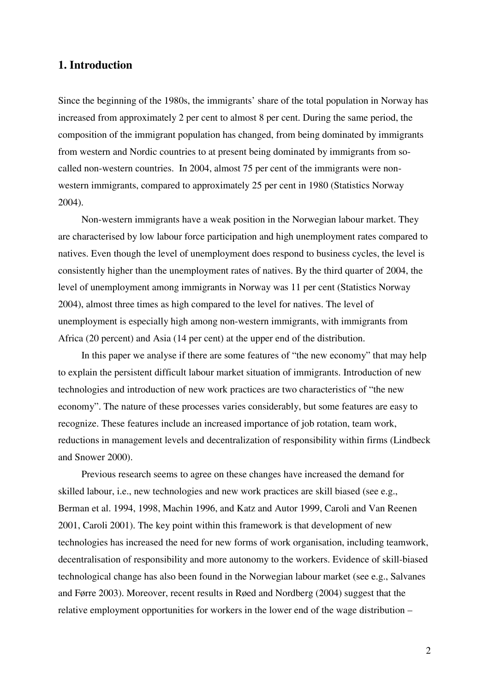# **1. Introduction**

Since the beginning of the 1980s, the immigrants' share of the total population in Norway has increased from approximately 2 per cent to almost 8 per cent. During the same period, the composition of the immigrant population has changed, from being dominated by immigrants from western and Nordic countries to at present being dominated by immigrants from socalled non-western countries. In 2004, almost 75 per cent of the immigrants were nonwestern immigrants, compared to approximately 25 per cent in 1980 (Statistics Norway 2004).

 Non-western immigrants have a weak position in the Norwegian labour market. They are characterised by low labour force participation and high unemployment rates compared to natives. Even though the level of unemployment does respond to business cycles, the level is consistently higher than the unemployment rates of natives. By the third quarter of 2004, the level of unemployment among immigrants in Norway was 11 per cent (Statistics Norway 2004), almost three times as high compared to the level for natives. The level of unemployment is especially high among non-western immigrants, with immigrants from Africa (20 percent) and Asia (14 per cent) at the upper end of the distribution.

 In this paper we analyse if there are some features of "the new economy" that may help to explain the persistent difficult labour market situation of immigrants. Introduction of new technologies and introduction of new work practices are two characteristics of "the new economy". The nature of these processes varies considerably, but some features are easy to recognize. These features include an increased importance of job rotation, team work, reductions in management levels and decentralization of responsibility within firms (Lindbeck and Snower 2000).

 Previous research seems to agree on these changes have increased the demand for skilled labour, i.e., new technologies and new work practices are skill biased (see e.g., Berman et al. 1994, 1998, Machin 1996, and Katz and Autor 1999, Caroli and Van Reenen 2001, Caroli 2001). The key point within this framework is that development of new technologies has increased the need for new forms of work organisation, including teamwork, decentralisation of responsibility and more autonomy to the workers. Evidence of skill-biased technological change has also been found in the Norwegian labour market (see e.g., Salvanes and Førre 2003). Moreover, recent results in Røed and Nordberg (2004) suggest that the relative employment opportunities for workers in the lower end of the wage distribution –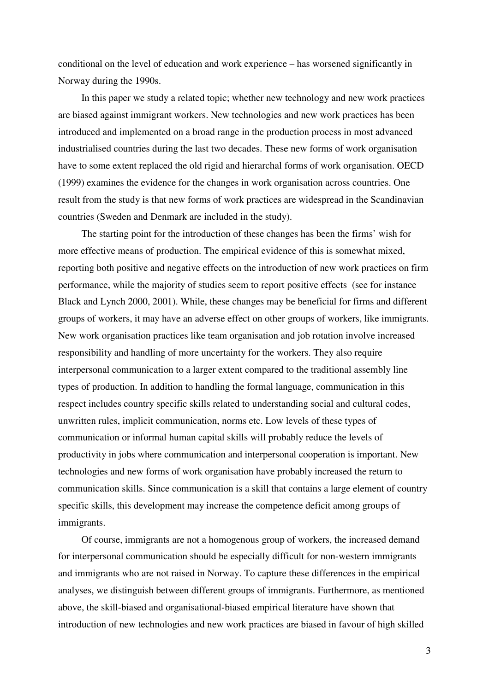conditional on the level of education and work experience – has worsened significantly in Norway during the 1990s.

 In this paper we study a related topic; whether new technology and new work practices are biased against immigrant workers. New technologies and new work practices has been introduced and implemented on a broad range in the production process in most advanced industrialised countries during the last two decades. These new forms of work organisation have to some extent replaced the old rigid and hierarchal forms of work organisation. OECD (1999) examines the evidence for the changes in work organisation across countries. One result from the study is that new forms of work practices are widespread in the Scandinavian countries (Sweden and Denmark are included in the study).

 The starting point for the introduction of these changes has been the firms' wish for more effective means of production. The empirical evidence of this is somewhat mixed, reporting both positive and negative effects on the introduction of new work practices on firm performance, while the majority of studies seem to report positive effects (see for instance Black and Lynch 2000, 2001). While, these changes may be beneficial for firms and different groups of workers, it may have an adverse effect on other groups of workers, like immigrants. New work organisation practices like team organisation and job rotation involve increased responsibility and handling of more uncertainty for the workers. They also require interpersonal communication to a larger extent compared to the traditional assembly line types of production. In addition to handling the formal language, communication in this respect includes country specific skills related to understanding social and cultural codes, unwritten rules, implicit communication, norms etc. Low levels of these types of communication or informal human capital skills will probably reduce the levels of productivity in jobs where communication and interpersonal cooperation is important. New technologies and new forms of work organisation have probably increased the return to communication skills. Since communication is a skill that contains a large element of country specific skills, this development may increase the competence deficit among groups of immigrants.

 Of course, immigrants are not a homogenous group of workers, the increased demand for interpersonal communication should be especially difficult for non-western immigrants and immigrants who are not raised in Norway. To capture these differences in the empirical analyses, we distinguish between different groups of immigrants. Furthermore, as mentioned above, the skill-biased and organisational-biased empirical literature have shown that introduction of new technologies and new work practices are biased in favour of high skilled

3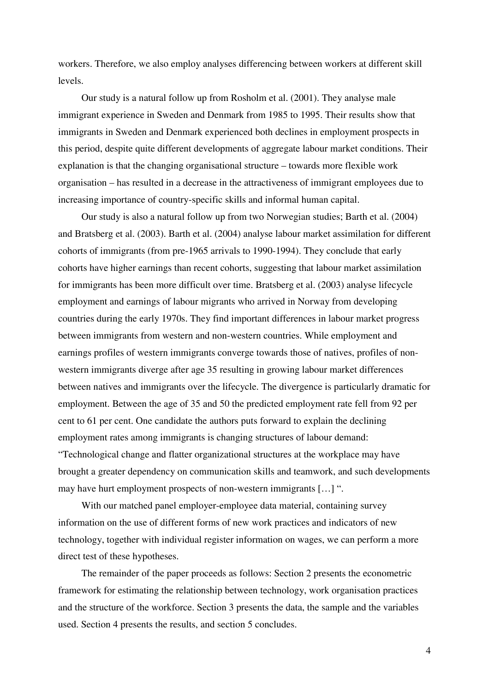workers. Therefore, we also employ analyses differencing between workers at different skill levels.

 Our study is a natural follow up from Rosholm et al. (2001). They analyse male immigrant experience in Sweden and Denmark from 1985 to 1995. Their results show that immigrants in Sweden and Denmark experienced both declines in employment prospects in this period, despite quite different developments of aggregate labour market conditions. Their explanation is that the changing organisational structure – towards more flexible work organisation – has resulted in a decrease in the attractiveness of immigrant employees due to increasing importance of country-specific skills and informal human capital.

 Our study is also a natural follow up from two Norwegian studies; Barth et al. (2004) and Bratsberg et al. (2003). Barth et al. (2004) analyse labour market assimilation for different cohorts of immigrants (from pre-1965 arrivals to 1990-1994). They conclude that early cohorts have higher earnings than recent cohorts, suggesting that labour market assimilation for immigrants has been more difficult over time. Bratsberg et al. (2003) analyse lifecycle employment and earnings of labour migrants who arrived in Norway from developing countries during the early 1970s. They find important differences in labour market progress between immigrants from western and non-western countries. While employment and earnings profiles of western immigrants converge towards those of natives, profiles of nonwestern immigrants diverge after age 35 resulting in growing labour market differences between natives and immigrants over the lifecycle. The divergence is particularly dramatic for employment. Between the age of 35 and 50 the predicted employment rate fell from 92 per cent to 61 per cent. One candidate the authors puts forward to explain the declining employment rates among immigrants is changing structures of labour demand: "Technological change and flatter organizational structures at the workplace may have brought a greater dependency on communication skills and teamwork, and such developments may have hurt employment prospects of non-western immigrants […] ".

 With our matched panel employer-employee data material, containing survey information on the use of different forms of new work practices and indicators of new technology, together with individual register information on wages, we can perform a more direct test of these hypotheses.

 The remainder of the paper proceeds as follows: Section 2 presents the econometric framework for estimating the relationship between technology, work organisation practices and the structure of the workforce. Section 3 presents the data, the sample and the variables used. Section 4 presents the results, and section 5 concludes.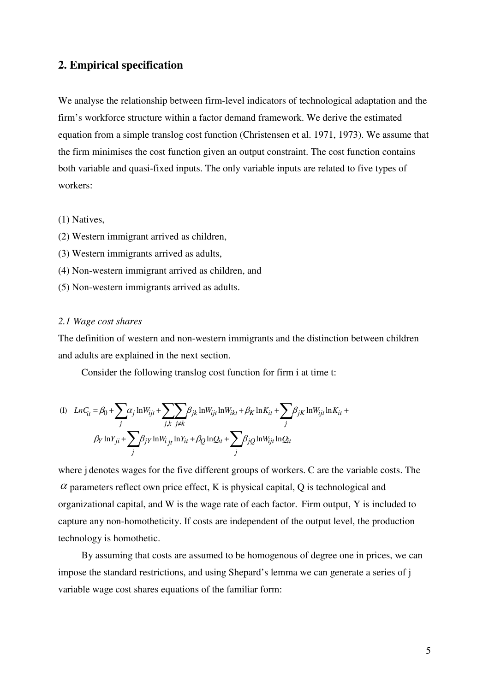# **2. Empirical specification**

We analyse the relationship between firm-level indicators of technological adaptation and the firm's workforce structure within a factor demand framework. We derive the estimated equation from a simple translog cost function (Christensen et al. 1971, 1973). We assume that the firm minimises the cost function given an output constraint. The cost function contains both variable and quasi-fixed inputs. The only variable inputs are related to five types of workers:

#### (1) Natives,

- (2) Western immigrant arrived as children,
- (3) Western immigrants arrived as adults,
- (4) Non-western immigrant arrived as children, and
- (5) Non-western immigrants arrived as adults.

#### *2.1 Wage cost shares*

The definition of western and non-western immigrants and the distinction between children and adults are explained in the next section.

Consider the following translog cost function for firm i at time t:

$$
(1) \quad LnC_{it} = \beta_0 + \sum_j \alpha_j \ln W_{ijt} + \sum_{j,k} \sum_{j \neq k} \beta_{jk} \ln W_{ijt} \ln W_{ikt} + \beta_K \ln K_{it} + \sum_j \beta_{jk} \ln W_{ijt} \ln K_{it} + \beta_K \ln Y_{jj} + \sum_j \beta_{jY} \ln W_{ijt} \ln Y_{it} + \beta_Q \ln Q_{it} + \sum_j \beta_{jQ} \ln W_{ijt} \ln Q_{it}
$$

where j denotes wages for the five different groups of workers. C are the variable costs. The  $\alpha$  parameters reflect own price effect, K is physical capital, Q is technological and organizational capital, and W is the wage rate of each factor. Firm output, Y is included to capture any non-homotheticity. If costs are independent of the output level, the production technology is homothetic.

 By assuming that costs are assumed to be homogenous of degree one in prices, we can impose the standard restrictions, and using Shepard's lemma we can generate a series of j variable wage cost shares equations of the familiar form: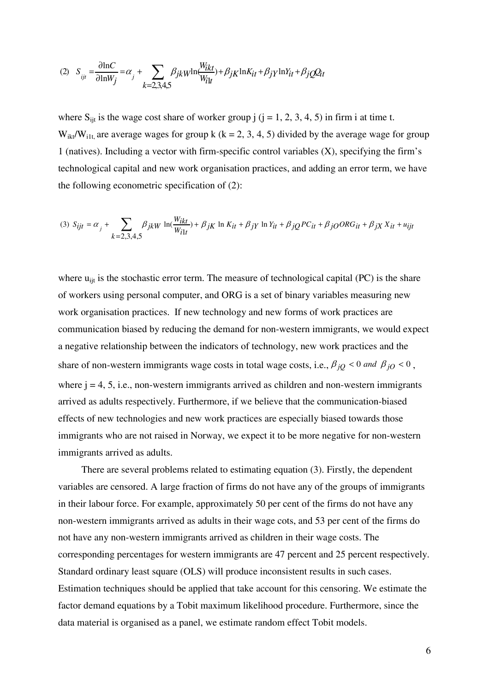$$
(2) \quad S_{ijt} = \frac{\partial \ln C}{\partial \ln W_j} = \alpha_j + \sum_{k=2,3,4,5} \beta_{jk} w \ln \frac{W_{ikt}}{W_{it}} + \beta_{jk} \ln K_{it} + \beta_j \ln Y_{it} + \beta_j Q_{it}
$$

where  $S_{\text{it}}$  is the wage cost share of worker group j (j = 1, 2, 3, 4, 5) in firm i at time t.  $W_{ik}/W_{i1t}$ , are average wages for group k (k = 2, 3, 4, 5) divided by the average wage for group 1 (natives). Including a vector with firm-specific control variables (X), specifying the firm's technological capital and new work organisation practices, and adding an error term, we have the following econometric specification of (2):

$$
(3) S_{ijt} = \alpha_j + \sum_{k=2,3,4,5} \beta_{jkW} \ln(\frac{W_{ikt}}{W_{i1t}}) + \beta_{jK} \ln K_{it} + \beta_{jY} \ln Y_{it} + \beta_{jQ} PC_{it} + \beta_{jO} ORG_{it} + \beta_{jX} X_{it} + u_{ijt}
$$

where  $u_{\text{fit}}$  is the stochastic error term. The measure of technological capital (PC) is the share of workers using personal computer, and ORG is a set of binary variables measuring new work organisation practices. If new technology and new forms of work practices are communication biased by reducing the demand for non-western immigrants, we would expect a negative relationship between the indicators of technology, new work practices and the share of non-western immigrants wage costs in total wage costs, i.e.,  $\beta_{jQ}$  < 0 and  $\beta_{jO}$  < 0, where  $j = 4, 5, i.e.,$  non-western immigrants arrived as children and non-western immigrants arrived as adults respectively. Furthermore, if we believe that the communication-biased effects of new technologies and new work practices are especially biased towards those immigrants who are not raised in Norway, we expect it to be more negative for non-western immigrants arrived as adults.

 There are several problems related to estimating equation (3). Firstly, the dependent variables are censored. A large fraction of firms do not have any of the groups of immigrants in their labour force. For example, approximately 50 per cent of the firms do not have any non-western immigrants arrived as adults in their wage cots, and 53 per cent of the firms do not have any non-western immigrants arrived as children in their wage costs. The corresponding percentages for western immigrants are 47 percent and 25 percent respectively. Standard ordinary least square (OLS) will produce inconsistent results in such cases. Estimation techniques should be applied that take account for this censoring. We estimate the factor demand equations by a Tobit maximum likelihood procedure. Furthermore, since the data material is organised as a panel, we estimate random effect Tobit models.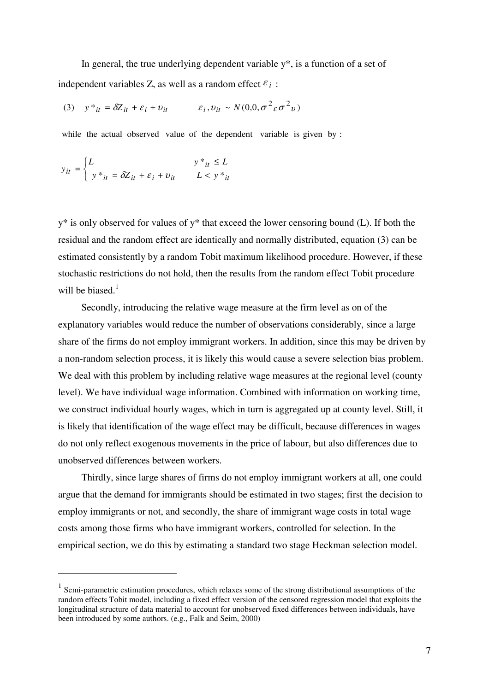In general, the true underlying dependent variable  $y^*$ , is a function of a set of independent variables Z, as well as a random effect  $\varepsilon_i$ :

(3)  $y *_{it} = \delta Z_{it} + \varepsilon_i + v_{it}$   $\varepsilon_i, v_{it} \sim N(0, 0, \sigma^2 \varepsilon \sigma^2 v)$ 

while the actual observed value of the dependent variable is given by :

$$
y_{it} = \begin{cases} L & y *_{it} \le L \\ y *_{it} = \delta Z_{it} + \varepsilon_i + v_{it} & L < y *_{it} \end{cases}
$$

 $\overline{a}$ 

 $y^*$  is only observed for values of  $y^*$  that exceed the lower censoring bound (L). If both the residual and the random effect are identically and normally distributed, equation (3) can be estimated consistently by a random Tobit maximum likelihood procedure. However, if these stochastic restrictions do not hold, then the results from the random effect Tobit procedure will be biased. $<sup>1</sup>$ </sup>

 Secondly, introducing the relative wage measure at the firm level as on of the explanatory variables would reduce the number of observations considerably, since a large share of the firms do not employ immigrant workers. In addition, since this may be driven by a non-random selection process, it is likely this would cause a severe selection bias problem. We deal with this problem by including relative wage measures at the regional level (county level). We have individual wage information. Combined with information on working time, we construct individual hourly wages, which in turn is aggregated up at county level. Still, it is likely that identification of the wage effect may be difficult, because differences in wages do not only reflect exogenous movements in the price of labour, but also differences due to unobserved differences between workers.

 Thirdly, since large shares of firms do not employ immigrant workers at all, one could argue that the demand for immigrants should be estimated in two stages; first the decision to employ immigrants or not, and secondly, the share of immigrant wage costs in total wage costs among those firms who have immigrant workers, controlled for selection. In the empirical section, we do this by estimating a standard two stage Heckman selection model.

 $1$  Semi-parametric estimation procedures, which relaxes some of the strong distributional assumptions of the random effects Tobit model, including a fixed effect version of the censored regression model that exploits the longitudinal structure of data material to account for unobserved fixed differences between individuals, have been introduced by some authors. (e.g., Falk and Seim, 2000)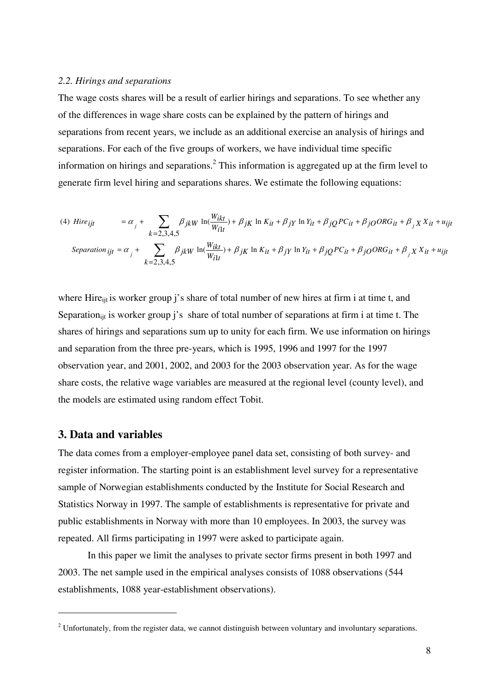#### *2.2. Hirings and separations*

The wage costs shares will be a result of earlier hirings and separations. To see whether any of the differences in wage share costs can be explained by the pattern of hirings and separations from recent years, we include as an additional exercise an analysis of hirings and separations. For each of the five groups of workers, we have individual time specific information on hirings and separations.<sup>2</sup> This information is aggregated up at the firm level to generate firm level hiring and separations shares. We estimate the following equations:

(4) *Hire<sub>ijt</sub>* = 
$$
\alpha_j + \sum_{k=2,3,4,5} \beta_{jkW} \ln(\frac{W_{ikt}}{W_{i1t}}) + \beta_{jK} \ln K_{it} + \beta_{jY} \ln Y_{it} + \beta_{jQ} PC_{it} + \beta_{jO} ORG_{it} + \beta_j X X_{it} + u_{ijt}
$$
  
\n*Separation<sub>ijt</sub>* =  $\alpha_j + \sum_{k=2,3,4,5} \beta_{jkW} \ln(\frac{W_{ikt}}{W_{i1t}}) + \beta_{jK} \ln K_{it} + \beta_{jY} \ln Y_{it} + \beta_{jQ} PC_{it} + \beta_{jO} ORG_{it} + \beta_j X X_{it} + u_{ijt}$ 

where Hire<sub>ijt</sub> is worker group j's share of total number of new hires at firm i at time t, and Separation<sub>ijt</sub> is worker group j's share of total number of separations at firm i at time t. The shares of hirings and separations sum up to unity for each firm. We use information on hirings and separation from the three pre-years, which is 1995, 1996 and 1997 for the 1997 observation year, and 2001, 2002, and 2003 for the 2003 observation year. As for the wage share costs, the relative wage variables are measured at the regional level (county level), and the models are estimated using random effect Tobit.

## **3. Data and variables**

 $\overline{a}$ 

The data comes from a employer-employee panel data set, consisting of both survey- and register information. The starting point is an establishment level survey for a representative sample of Norwegian establishments conducted by the Institute for Social Research and Statistics Norway in 1997. The sample of establishments is representative for private and public establishments in Norway with more than 10 employees. In 2003, the survey was repeated. All firms participating in 1997 were asked to participate again.

In this paper we limit the analyses to private sector firms present in both 1997 and 2003. The net sample used in the empirical analyses consists of 1088 observations (544 establishments, 1088 year-establishment observations).

 $2$  Unfortunately, from the register data, we cannot distinguish between voluntary and involuntary separations.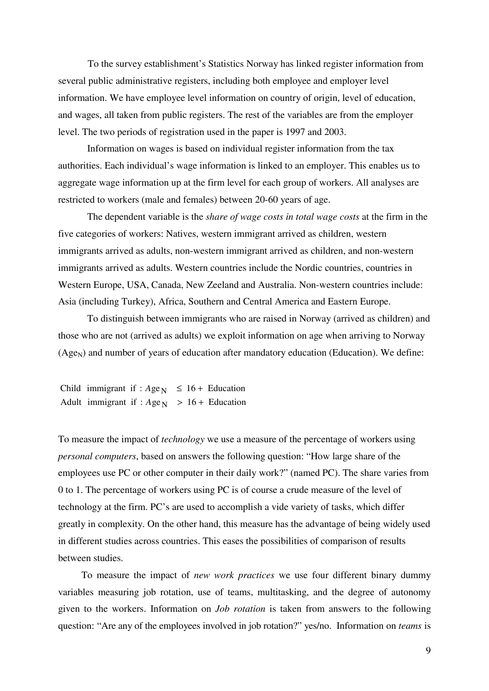To the survey establishment's Statistics Norway has linked register information from several public administrative registers, including both employee and employer level information. We have employee level information on country of origin, level of education, and wages, all taken from public registers. The rest of the variables are from the employer level. The two periods of registration used in the paper is 1997 and 2003.

Information on wages is based on individual register information from the tax authorities. Each individual's wage information is linked to an employer. This enables us to aggregate wage information up at the firm level for each group of workers. All analyses are restricted to workers (male and females) between 20-60 years of age.

The dependent variable is the *share of wage costs in total wage costs* at the firm in the five categories of workers: Natives, western immigrant arrived as children, western immigrants arrived as adults, non-western immigrant arrived as children, and non-western immigrants arrived as adults. Western countries include the Nordic countries, countries in Western Europe, USA, Canada, New Zeeland and Australia. Non-western countries include: Asia (including Turkey), Africa, Southern and Central America and Eastern Europe.

To distinguish between immigrants who are raised in Norway (arrived as children) and those who are not (arrived as adults) we exploit information on age when arriving to Norway  $(Age_N)$  and number of years of education after mandatory education (Education). We define:

Adult immigrant if :  $Age_N$  > 16 + Education Child immigrant if :  $Age_N \le 16 +$  Education

To measure the impact of *technology* we use a measure of the percentage of workers using *personal computers*, based on answers the following question: "How large share of the employees use PC or other computer in their daily work?" (named PC). The share varies from 0 to 1. The percentage of workers using PC is of course a crude measure of the level of technology at the firm. PC's are used to accomplish a vide variety of tasks, which differ greatly in complexity. On the other hand, this measure has the advantage of being widely used in different studies across countries. This eases the possibilities of comparison of results between studies.

 To measure the impact of *new work practices* we use four different binary dummy variables measuring job rotation, use of teams, multitasking, and the degree of autonomy given to the workers. Information on *Job rotation* is taken from answers to the following question: "Are any of the employees involved in job rotation?" yes/no. Information on *teams* is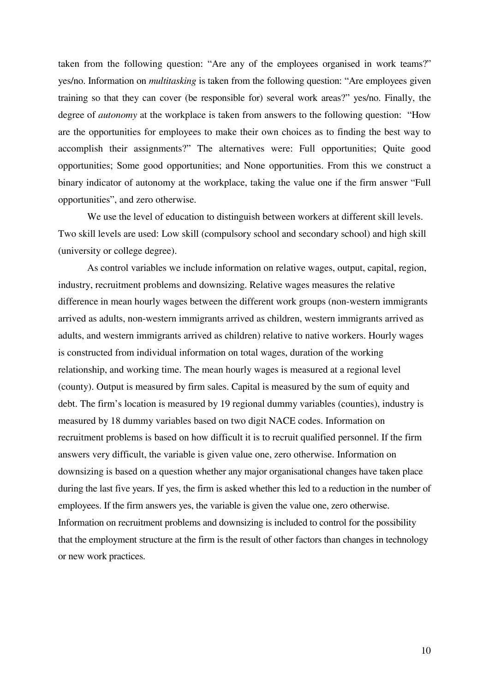taken from the following question: "Are any of the employees organised in work teams?" yes/no. Information on *multitasking* is taken from the following question: "Are employees given training so that they can cover (be responsible for) several work areas?" yes/no. Finally, the degree of *autonomy* at the workplace is taken from answers to the following question: "How are the opportunities for employees to make their own choices as to finding the best way to accomplish their assignments?" The alternatives were: Full opportunities; Quite good opportunities; Some good opportunities; and None opportunities. From this we construct a binary indicator of autonomy at the workplace, taking the value one if the firm answer "Full opportunities", and zero otherwise.

We use the level of education to distinguish between workers at different skill levels. Two skill levels are used: Low skill (compulsory school and secondary school) and high skill (university or college degree).

As control variables we include information on relative wages, output, capital, region, industry, recruitment problems and downsizing. Relative wages measures the relative difference in mean hourly wages between the different work groups (non-western immigrants arrived as adults, non-western immigrants arrived as children, western immigrants arrived as adults, and western immigrants arrived as children) relative to native workers. Hourly wages is constructed from individual information on total wages, duration of the working relationship, and working time. The mean hourly wages is measured at a regional level (county). Output is measured by firm sales. Capital is measured by the sum of equity and debt. The firm's location is measured by 19 regional dummy variables (counties), industry is measured by 18 dummy variables based on two digit NACE codes. Information on recruitment problems is based on how difficult it is to recruit qualified personnel. If the firm answers very difficult, the variable is given value one, zero otherwise. Information on downsizing is based on a question whether any major organisational changes have taken place during the last five years. If yes, the firm is asked whether this led to a reduction in the number of employees. If the firm answers yes, the variable is given the value one, zero otherwise. Information on recruitment problems and downsizing is included to control for the possibility that the employment structure at the firm is the result of other factors than changes in technology or new work practices.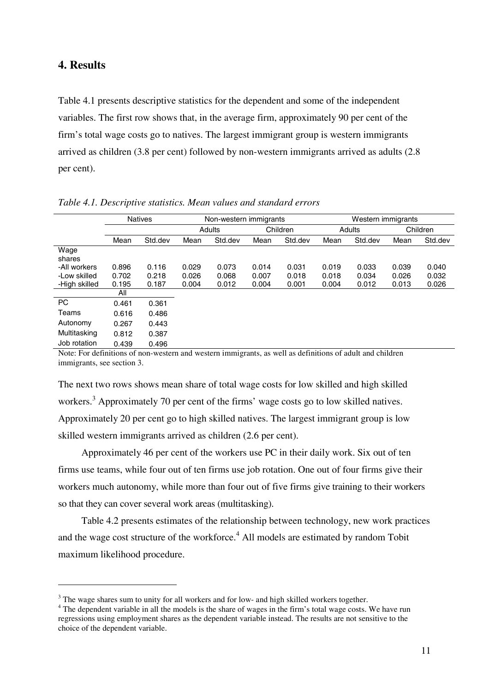## **4. Results**

 $\overline{a}$ 

Table 4.1 presents descriptive statistics for the dependent and some of the independent variables. The first row shows that, in the average firm, approximately 90 per cent of the firm's total wage costs go to natives. The largest immigrant group is western immigrants arrived as children (3.8 per cent) followed by non-western immigrants arrived as adults (2.8 per cent).

|               |       | <b>Natives</b> |       | Non-western immigrants |       |          |       | Western immigrants |       |          |
|---------------|-------|----------------|-------|------------------------|-------|----------|-------|--------------------|-------|----------|
|               |       |                |       | Adults                 |       | Children |       | Adults             |       | Children |
|               | Mean  | Std.dev        | Mean  | Std.dev                | Mean  | Std.dev  | Mean  | Std.dev            | Mean  | Std.dev  |
| Wage          |       |                |       |                        |       |          |       |                    |       |          |
| shares        |       |                |       |                        |       |          |       |                    |       |          |
| -All workers  | 0.896 | 0.116          | 0.029 | 0.073                  | 0.014 | 0.031    | 0.019 | 0.033              | 0.039 | 0.040    |
| -Low skilled  | 0.702 | 0.218          | 0.026 | 0.068                  | 0.007 | 0.018    | 0.018 | 0.034              | 0.026 | 0.032    |
| -High skilled | 0.195 | 0.187          | 0.004 | 0.012                  | 0.004 | 0.001    | 0.004 | 0.012              | 0.013 | 0.026    |
|               | All   |                |       |                        |       |          |       |                    |       |          |
| PC.           | 0.461 | 0.361          |       |                        |       |          |       |                    |       |          |
| Teams         | 0.616 | 0.486          |       |                        |       |          |       |                    |       |          |
| Autonomy      | 0.267 | 0.443          |       |                        |       |          |       |                    |       |          |
| Multitasking  | 0.812 | 0.387          |       |                        |       |          |       |                    |       |          |
| Job rotation  | 0.439 | 0.496          |       |                        |       |          |       |                    |       |          |

*Table 4.1. Descriptive statistics. Mean values and standard errors* 

Note: For definitions of non-western and western immigrants, as well as definitions of adult and children immigrants, see section 3.

The next two rows shows mean share of total wage costs for low skilled and high skilled workers.<sup>3</sup> Approximately 70 per cent of the firms' wage costs go to low skilled natives. Approximately 20 per cent go to high skilled natives. The largest immigrant group is low skilled western immigrants arrived as children (2.6 per cent).

 Approximately 46 per cent of the workers use PC in their daily work. Six out of ten firms use teams, while four out of ten firms use job rotation. One out of four firms give their workers much autonomy, while more than four out of five firms give training to their workers so that they can cover several work areas (multitasking).

 Table 4.2 presents estimates of the relationship between technology, new work practices and the wage cost structure of the workforce.<sup>4</sup> All models are estimated by random Tobit maximum likelihood procedure.

 $3$  The wage shares sum to unity for all workers and for low- and high skilled workers together.

<sup>&</sup>lt;sup>4</sup> The dependent variable in all the models is the share of wages in the firm's total wage costs. We have run regressions using employment shares as the dependent variable instead. The results are not sensitive to the choice of the dependent variable.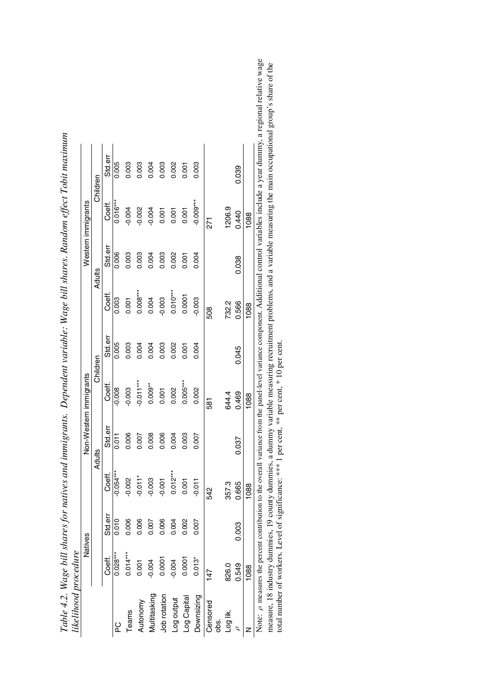|                  | Natives    |         |                                                                 |               | Non-Western immigrants         |          |            |         | Western immigrants |                                                                                                                                                                                        |
|------------------|------------|---------|-----------------------------------------------------------------|---------------|--------------------------------|----------|------------|---------|--------------------|----------------------------------------------------------------------------------------------------------------------------------------------------------------------------------------|
|                  |            |         |                                                                 | <b>Adults</b> |                                | Children |            | Adults  |                    | Children                                                                                                                                                                               |
|                  | Coeff.     | Std.err | Coeff.                                                          | Std.err       | Coeff.                         | Std.err  | †ao<br>Co  | Std.err | Coeff.             | Std.err                                                                                                                                                                                |
| ဥ                | $0.028***$ | 0.010   | $-0.054***$                                                     | 0.011         | $-0.008$                       | 0.005    | 0.003      | 0.006   | $0.016***$         | 0.005                                                                                                                                                                                  |
| Teams            | $0.014***$ | 0.006   | $-0.002$                                                        | 0.006         | $-0.003$                       | 0.003    | 0.001      | 0.003   | $-0.004$           | 0.003                                                                                                                                                                                  |
| Autonomy         | 0.001      | 0.006   | $-0.011$ <sup>*</sup>                                           | 0.007         | $-0.011***$                    | 0.004    | $0.008***$ | 0.003   | $-0.002$           | 0.003                                                                                                                                                                                  |
| Multitasking     | $-0.004$   | 0.007   | $-0.003$                                                        | 0.008         | $0.009**$                      | 0.004    | 0.004      | 0.004   | $-0.004$           | 0.004                                                                                                                                                                                  |
| Job rotation     | 0.0001     | 0.006   | $-0.001$                                                        | 0.006         | 0.001                          | 0.003    | $-0.003$   | 0.003   | 0.001              | 0.003                                                                                                                                                                                  |
| Log output       | $-0.004$   | 0.004   | $0.012***$                                                      | 0.004         | 0.002                          | 0.002    | $0.010***$ | 0.002   | 0.001              | 0.002                                                                                                                                                                                  |
| Log Capital      | 0.0001     | 0.002   | 0.001                                                           | 0.003         | $0.005***$                     | 0.001    | 0.0001     | 0.001   | 0.001              | 0.001                                                                                                                                                                                  |
| Downsizing       | $0.013*$   | 0.007   | $-0.011$                                                        | 0.007         | 0.002                          | 0.004    | $-0.003$   | 0.004   | $-0.009***$        | 0.003                                                                                                                                                                                  |
| Censored<br>obs. | 147        |         | 542                                                             |               | 581                            |          | 508        |         | 271                |                                                                                                                                                                                        |
| Log lik.         | 826.0      |         | 357.3                                                           |               | 644.4                          |          | 732.2      |         | 1206.9             |                                                                                                                                                                                        |
|                  | 0.549      | 0.003   | 0.665                                                           | 0.037         | 0.469                          | 0.045    | 0.566      | 0.038   | 0.440              | 0.039                                                                                                                                                                                  |
|                  | 1088       |         | 1088                                                            |               | 1088                           |          | 1088       |         | 1088               |                                                                                                                                                                                        |
|                  |            |         |                                                                 |               |                                |          |            |         |                    | Note: p measures the percent contribution to the overall variance from the panel-level variance component. Additional control variables include a year dummy, a regional relative wage |
|                  |            |         | measure, 18 industry dummies, 19 county dummies, a dummy        |               |                                |          |            |         |                    | variable measuring recruitment problems, and a variable measuring the main occupational group's share of the                                                                           |
|                  |            |         | total number of workers. Level of significance: *** 1 per cent, |               | $**$ per cent, $*$ 10 per cent |          |            |         |                    |                                                                                                                                                                                        |

| :<br>;;                                                                     |  |
|-----------------------------------------------------------------------------|--|
| ;<br>;<br>ſ                                                                 |  |
| i<br>S                                                                      |  |
| วากว<br>$1 - 2 - 7 - 7$                                                     |  |
| $\frac{1}{2}$                                                               |  |
| Ì                                                                           |  |
| Î                                                                           |  |
| $\overline{ }$<br>֖֖֖֖֧ׅׅ֧ׅ֧ׅׅ֧ׅ֧֚֚֚֚֚֚֚֚֚֚֚֚֚֚֚֚֚֚֚֚֚֚֚֚֡֬֝֡֜֝֓֡֡֓֡֡֡֓֡֡֬֝ |  |
| יי ניט ייי<br>;                                                             |  |
| ית סמודי<br>in 1 n                                                          |  |
| .<br>נש                                                                     |  |
| $\frac{1}{2}$<br>スワラカ ト・リ・・ こころかい フララ ピニ                                    |  |
|                                                                             |  |
|                                                                             |  |
| $T_{\rm eff}$ / $\gamma$ $\gamma$                                           |  |

ional relative wage onal group's share of the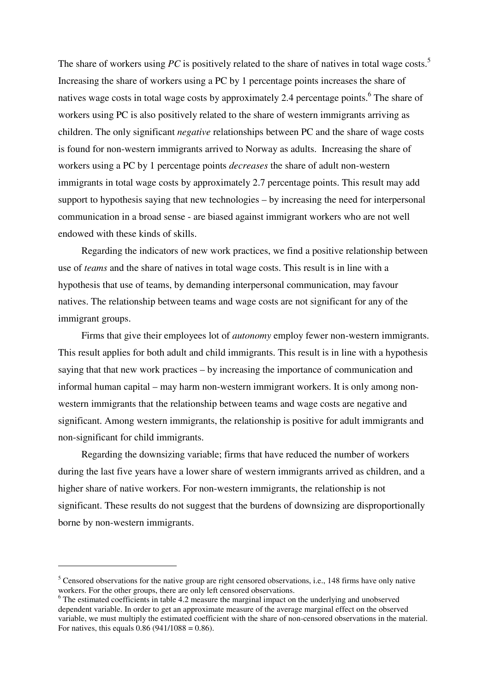The share of workers using *PC* is positively related to the share of natives in total wage costs.<sup>5</sup> Increasing the share of workers using a PC by 1 percentage points increases the share of natives wage costs in total wage costs by approximately 2.4 percentage points.<sup>6</sup> The share of workers using PC is also positively related to the share of western immigrants arriving as children. The only significant *negative* relationships between PC and the share of wage costs is found for non-western immigrants arrived to Norway as adults. Increasing the share of workers using a PC by 1 percentage points *decreases* the share of adult non-western immigrants in total wage costs by approximately 2.7 percentage points. This result may add support to hypothesis saying that new technologies – by increasing the need for interpersonal communication in a broad sense - are biased against immigrant workers who are not well endowed with these kinds of skills.

 Regarding the indicators of new work practices, we find a positive relationship between use of *teams* and the share of natives in total wage costs. This result is in line with a hypothesis that use of teams, by demanding interpersonal communication, may favour natives. The relationship between teams and wage costs are not significant for any of the immigrant groups.

 Firms that give their employees lot of *autonomy* employ fewer non-western immigrants. This result applies for both adult and child immigrants. This result is in line with a hypothesis saying that that new work practices – by increasing the importance of communication and informal human capital – may harm non-western immigrant workers. It is only among nonwestern immigrants that the relationship between teams and wage costs are negative and significant. Among western immigrants, the relationship is positive for adult immigrants and non-significant for child immigrants.

 Regarding the downsizing variable; firms that have reduced the number of workers during the last five years have a lower share of western immigrants arrived as children, and a higher share of native workers. For non-western immigrants, the relationship is not significant. These results do not suggest that the burdens of downsizing are disproportionally borne by non-western immigrants.

 $\overline{a}$ 

<sup>&</sup>lt;sup>5</sup> Censored observations for the native group are right censored observations, i.e., 148 firms have only native workers. For the other groups, there are only left censored observations.

<sup>&</sup>lt;sup>6</sup> The estimated coefficients in table 4.2 measure the marginal impact on the underlying and unobserved dependent variable. In order to get an approximate measure of the average marginal effect on the observed variable, we must multiply the estimated coefficient with the share of non-censored observations in the material. For natives, this equals  $0.86$  (941/1088 = 0.86).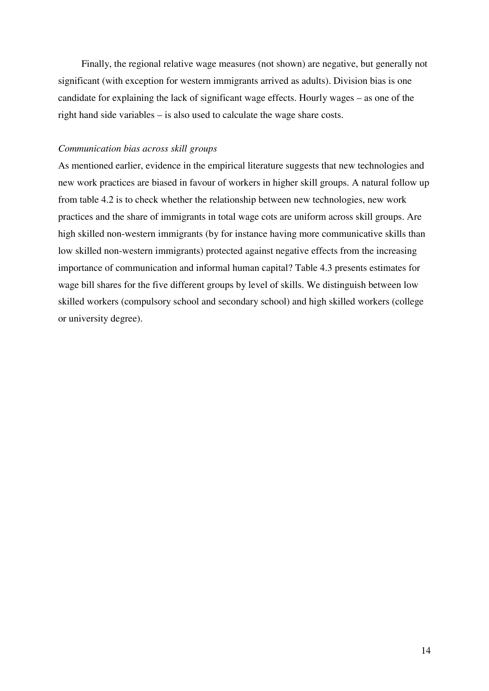Finally, the regional relative wage measures (not shown) are negative, but generally not significant (with exception for western immigrants arrived as adults). Division bias is one candidate for explaining the lack of significant wage effects. Hourly wages – as one of the right hand side variables – is also used to calculate the wage share costs.

## *Communication bias across skill groups*

As mentioned earlier, evidence in the empirical literature suggests that new technologies and new work practices are biased in favour of workers in higher skill groups. A natural follow up from table 4.2 is to check whether the relationship between new technologies, new work practices and the share of immigrants in total wage cots are uniform across skill groups. Are high skilled non-western immigrants (by for instance having more communicative skills than low skilled non-western immigrants) protected against negative effects from the increasing importance of communication and informal human capital? Table 4.3 presents estimates for wage bill shares for the five different groups by level of skills. We distinguish between low skilled workers (compulsory school and secondary school) and high skilled workers (college or university degree).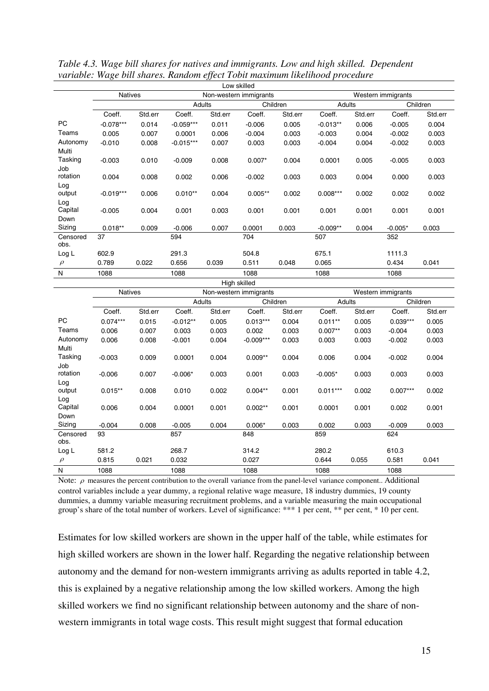|                |                |         |             |         | Low skilled            |          |            |         |                    |          |
|----------------|----------------|---------|-------------|---------|------------------------|----------|------------|---------|--------------------|----------|
|                | <b>Natives</b> |         |             |         | Non-western immigrants |          |            |         | Western immigrants |          |
|                |                |         | Adults      |         |                        | Children | Adults     |         |                    | Children |
|                | Coeff.         | Std.err | Coeff.      | Std.err | Coeff.                 | Std.err  | Coeff.     | Std.err | Coeff.             | Std.err  |
| <b>PC</b>      | $-0.078***$    | 0.014   | $-0.059***$ | 0.011   | $-0.006$               | 0.005    | $-0.013**$ | 0.006   | $-0.005$           | 0.004    |
| Teams          | 0.005          | 0.007   | 0.0001      | 0.006   | $-0.004$               | 0.003    | $-0.003$   | 0.004   | $-0.002$           | 0.003    |
| Autonomy       | $-0.010$       | 0.008   | $-0.015***$ | 0.007   | 0.003                  | 0.003    | $-0.004$   | 0.004   | $-0.002$           | 0.003    |
| Multi          |                |         |             |         |                        |          |            |         |                    |          |
| Tasking        | $-0.003$       | 0.010   | $-0.009$    | 0.008   | $0.007*$               | 0.004    | 0.0001     | 0.005   | $-0.005$           | 0.003    |
| Job            |                |         |             |         |                        |          |            |         |                    |          |
| rotation       | 0.004          | 0.008   | 0.002       | 0.006   | $-0.002$               | 0.003    | 0.003      | 0.004   | 0.000              | 0.003    |
| Log            |                |         |             |         |                        |          |            |         |                    |          |
| output         | $-0.019***$    | 0.006   | $0.010**$   | 0.004   | $0.005**$              | 0.002    | $0.008***$ | 0.002   | 0.002              | 0.002    |
| Log<br>Capital | $-0.005$       | 0.004   | 0.001       | 0.003   | 0.001                  | 0.001    | 0.001      | 0.001   | 0.001              | 0.001    |
| Down           |                |         |             |         |                        |          |            |         |                    |          |
| Sizing         | $0.018**$      | 0.009   | $-0.006$    | 0.007   | 0.0001                 | 0.003    | $-0.009**$ | 0.004   | $-0.005*$          | 0.003    |
| Censored       | 37             |         | 594         |         | 704                    |          | 507        |         | 352                |          |
| obs.           |                |         |             |         |                        |          |            |         |                    |          |
| Log L          | 602.9          |         | 291.3       |         | 504.8                  |          | 675.1      |         | 1111.3             |          |
| $\rho$         | 0.789          | 0.022   | 0.656       | 0.039   | 0.511                  | 0.048    | 0.065      |         | 0.434              | 0.041    |
| N              | 1088           |         | 1088        |         | 1088                   |          | 1088       |         | 1088               |          |

*Table 4.3. Wage bill shares for natives and immigrants. Low and high skilled. Dependent variable: Wage bill shares. Random effect Tobit maximum likelihood procedure* 

|                |                |         |            |         | High skilled           |         |            |         |                    |          |
|----------------|----------------|---------|------------|---------|------------------------|---------|------------|---------|--------------------|----------|
|                | <b>Natives</b> |         |            |         | Non-western immigrants |         |            |         | Western immigrants |          |
|                |                |         | Adults     |         | Children               |         |            | Adults  |                    | Children |
|                | Coeff.         | Std.err | Coeff.     | Std.err | Coeff.                 | Std.err | Coeff.     | Std.err | Coeff.             | Std.err  |
| <b>PC</b>      | $0.074***$     | 0.015   | $-0.012**$ | 0.005   | $0.013***$             | 0.004   | $0.011**$  | 0.005   | $0.039***$         | 0.005    |
| Teams          | 0.006          | 0.007   | 0.003      | 0.003   | 0.002                  | 0.003   | $0.007**$  | 0.003   | $-0.004$           | 0.003    |
| Autonomy       | 0.006          | 0.008   | $-0.001$   | 0.004   | $-0.009***$            | 0.003   | 0.003      | 0.003   | $-0.002$           | 0.003    |
| Multi          |                |         |            |         |                        |         |            |         |                    |          |
| Tasking        | $-0.003$       | 0.009   | 0.0001     | 0.004   | $0.009**$              | 0.004   | 0.006      | 0.004   | $-0.002$           | 0.004    |
| Job            |                |         |            |         |                        |         |            |         |                    |          |
| rotation       | $-0.006$       | 0.007   | $-0.006*$  | 0.003   | 0.001                  | 0.003   | $-0.005*$  | 0.003   | 0.003              | 0.003    |
| Log            |                |         |            |         |                        |         |            |         |                    |          |
| output         | $0.015**$      | 0.008   | 0.010      | 0.002   | $0.004**$              | 0.001   | $0.011***$ | 0.002   | $0.007***$         | 0.002    |
| Log<br>Capital |                |         |            |         |                        |         |            |         |                    |          |
| Down           | 0.006          | 0.004   | 0.0001     | 0.001   | $0.002**$              | 0.001   | 0.0001     | 0.001   | 0.002              | 0.001    |
| Sizing         | $-0.004$       | 0.008   | $-0.005$   | 0.004   | $0.006*$               | 0.003   | 0.002      | 0.003   | $-0.009$           | 0.003    |
| Censored       | 93             |         | 857        |         | 848                    |         | 859        |         | 624                |          |
| obs.           |                |         |            |         |                        |         |            |         |                    |          |
| Log L          | 581.2          |         | 268.7      |         | 314.2                  |         | 280.2      |         | 610.3              |          |
| $\rho$         | 0.815          | 0.021   | 0.032      |         | 0.027                  |         | 0.644      | 0.055   | 0.581              | 0.041    |
| N              | 1088           |         | 1088       |         | 1088                   |         | 1088       |         | 1088               |          |

Note:  $\rho$  measures the percent contribution to the overall variance from the panel-level variance component.. Additional control variables include a year dummy, a regional relative wage measure, 18 industry dummies, 19 county dummies, a dummy variable measuring recruitment problems, and a variable measuring the main occupational group's share of the total number of workers. Level of significance: \*\*\* 1 per cent, \*\* per cent, \* 10 per cent.

Estimates for low skilled workers are shown in the upper half of the table, while estimates for high skilled workers are shown in the lower half. Regarding the negative relationship between autonomy and the demand for non-western immigrants arriving as adults reported in table 4.2, this is explained by a negative relationship among the low skilled workers. Among the high skilled workers we find no significant relationship between autonomy and the share of nonwestern immigrants in total wage costs. This result might suggest that formal education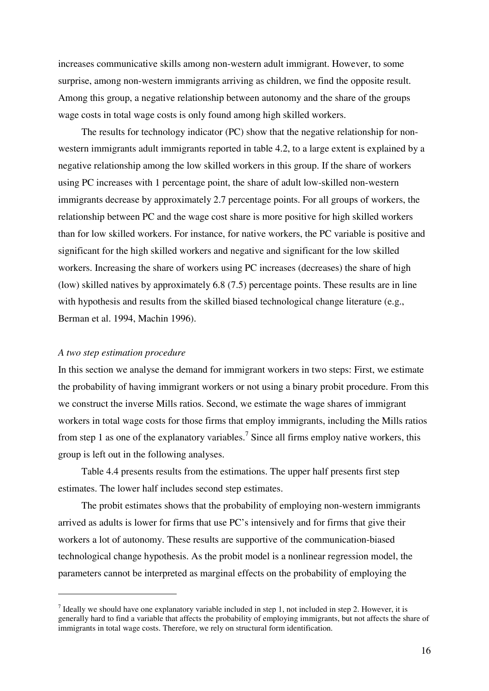increases communicative skills among non-western adult immigrant. However, to some surprise, among non-western immigrants arriving as children, we find the opposite result. Among this group, a negative relationship between autonomy and the share of the groups wage costs in total wage costs is only found among high skilled workers.

 The results for technology indicator (PC) show that the negative relationship for nonwestern immigrants adult immigrants reported in table 4.2, to a large extent is explained by a negative relationship among the low skilled workers in this group. If the share of workers using PC increases with 1 percentage point, the share of adult low-skilled non-western immigrants decrease by approximately 2.7 percentage points. For all groups of workers, the relationship between PC and the wage cost share is more positive for high skilled workers than for low skilled workers. For instance, for native workers, the PC variable is positive and significant for the high skilled workers and negative and significant for the low skilled workers. Increasing the share of workers using PC increases (decreases) the share of high (low) skilled natives by approximately 6.8 (7.5) percentage points. These results are in line with hypothesis and results from the skilled biased technological change literature (e.g., Berman et al. 1994, Machin 1996).

#### *A two step estimation procedure*

 $\overline{a}$ 

In this section we analyse the demand for immigrant workers in two steps: First, we estimate the probability of having immigrant workers or not using a binary probit procedure. From this we construct the inverse Mills ratios. Second, we estimate the wage shares of immigrant workers in total wage costs for those firms that employ immigrants, including the Mills ratios from step 1 as one of the explanatory variables.<sup>7</sup> Since all firms employ native workers, this group is left out in the following analyses.

 Table 4.4 presents results from the estimations. The upper half presents first step estimates. The lower half includes second step estimates.

 The probit estimates shows that the probability of employing non-western immigrants arrived as adults is lower for firms that use PC's intensively and for firms that give their workers a lot of autonomy. These results are supportive of the communication-biased technological change hypothesis. As the probit model is a nonlinear regression model, the parameters cannot be interpreted as marginal effects on the probability of employing the

<sup>&</sup>lt;sup>7</sup> Ideally we should have one explanatory variable included in step 1, not included in step 2. However, it is generally hard to find a variable that affects the probability of employing immigrants, but not affects the share of immigrants in total wage costs. Therefore, we rely on structural form identification.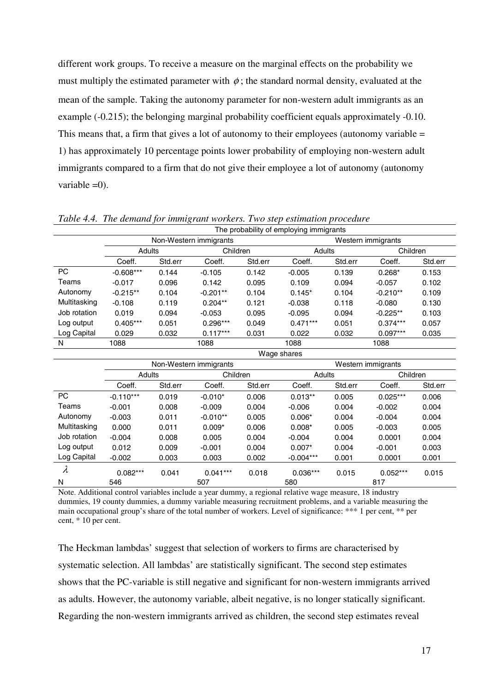different work groups. To receive a measure on the marginal effects on the probability we must multiply the estimated parameter with  $\phi$ ; the standard normal density, evaluated at the mean of the sample. Taking the autonomy parameter for non-western adult immigrants as an example (-0.215); the belonging marginal probability coefficient equals approximately -0.10. This means that, a firm that gives a lot of autonomy to their employees (autonomy variable = 1) has approximately 10 percentage points lower probability of employing non-western adult immigrants compared to a firm that do not give their employee a lot of autonomy (autonomy variable  $=0$ ).

|              |             |         |                        |         | The probability of employing immigrants |         |                    |         |
|--------------|-------------|---------|------------------------|---------|-----------------------------------------|---------|--------------------|---------|
|              |             |         | Non-Western immigrants |         |                                         |         | Western immigrants |         |
|              | Adults      |         | Children               |         | Adults                                  |         | Children           |         |
|              | Coeff.      | Std.err | Coeff.                 | Std.err | Coeff.                                  | Std.err | Coeff.             | Std.err |
| <b>PC</b>    | $-0.608***$ | 0.144   | $-0.105$               | 0.142   | $-0.005$                                | 0.139   | $0.268*$           | 0.153   |
| Teams        | $-0.017$    | 0.096   | 0.142                  | 0.095   | 0.109                                   | 0.094   | $-0.057$           | 0.102   |
| Autonomy     | $-0.215**$  | 0.104   | $-0.201**$             | 0.104   | $0.145*$                                | 0.104   | $-0.210**$         | 0.109   |
| Multitasking | $-0.108$    | 0.119   | $0.204**$              | 0.121   | $-0.038$                                | 0.118   | $-0.080$           | 0.130   |
| Job rotation | 0.019       | 0.094   | $-0.053$               | 0.095   | $-0.095$                                | 0.094   | $-0.225**$         | 0.103   |
| Log output   | $0.405***$  | 0.051   | $0.296***$             | 0.049   | $0.471***$                              | 0.051   | $0.374***$         | 0.057   |
| Log Capital  | 0.029       | 0.032   | $0.117***$             | 0.031   | 0.022                                   | 0.032   | $0.097***$         | 0.035   |
| N            | 1088        |         | 1088                   |         | 1088                                    |         | 1088               |         |
|              |             |         |                        |         | Wage shares                             |         |                    |         |
|              |             |         | Non-Western immigrants |         |                                         |         | Western immigrants |         |
|              | Adults      |         | Children               |         | Adults                                  |         | Children           |         |
|              | Coeff.      | Std.err | Coeff.                 | Std.err | Coeff.                                  | Std.err | Coeff.             | Std.err |
| PC           | $-0.110***$ | 0.019   | $-0.010*$              | 0.006   | $0.013**$                               | 0.005   | $0.025***$         | 0.006   |
| Teams        | $-0.001$    | 0.008   | $-0.009$               | 0.004   | $-0.006$                                | 0.004   | $-0.002$           | 0.004   |
| Autonomy     | $-0.003$    | 0.011   | $-0.010**$             | 0.005   | $0.006*$                                | 0.004   | $-0.004$           | 0.004   |
| Multitasking | 0.000       | 0.011   | $0.009*$               | 0.006   | $0.008*$                                | 0.005   | $-0.003$           | 0.005   |
| Job rotation | $-0.004$    | 0.008   | 0.005                  | 0.004   | $-0.004$                                | 0.004   | 0.0001             | 0.004   |
| Log output   | 0.012       | 0.009   | $-0.001$               | 0.004   | $0.007*$                                | 0.004   | $-0.001$           | 0.003   |
| Log Capital  | $-0.002$    | 0.003   | 0.003                  | 0.002   | $-0.004***$                             | 0.001   | 0.0001             | 0.001   |
| $\lambda$    | $0.082***$  | 0.041   | $0.041***$             | 0.018   | $0.036***$                              | 0.015   | $0.052***$         | 0.015   |
| Ν            | 546         |         | 507                    |         | 580                                     |         | 817                |         |

*Table 4.4. The demand for immigrant workers. Two step estimation procedure* 

Note. Additional control variables include a year dummy, a regional relative wage measure, 18 industry dummies, 19 county dummies, a dummy variable measuring recruitment problems, and a variable measuring the main occupational group's share of the total number of workers. Level of significance: \*\*\* 1 per cent, \*\* per cent, \* 10 per cent.

The Heckman lambdas' suggest that selection of workers to firms are characterised by systematic selection. All lambdas' are statistically significant. The second step estimates shows that the PC-variable is still negative and significant for non-western immigrants arrived as adults. However, the autonomy variable, albeit negative, is no longer statically significant. Regarding the non-western immigrants arrived as children, the second step estimates reveal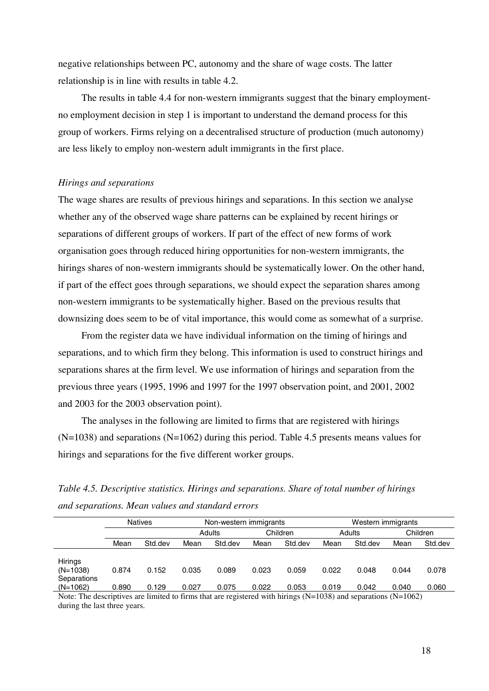negative relationships between PC, autonomy and the share of wage costs. The latter relationship is in line with results in table 4.2.

 The results in table 4.4 for non-western immigrants suggest that the binary employmentno employment decision in step 1 is important to understand the demand process for this group of workers. Firms relying on a decentralised structure of production (much autonomy) are less likely to employ non-western adult immigrants in the first place.

#### *Hirings and separations*

The wage shares are results of previous hirings and separations. In this section we analyse whether any of the observed wage share patterns can be explained by recent hirings or separations of different groups of workers. If part of the effect of new forms of work organisation goes through reduced hiring opportunities for non-western immigrants, the hirings shares of non-western immigrants should be systematically lower. On the other hand, if part of the effect goes through separations, we should expect the separation shares among non-western immigrants to be systematically higher. Based on the previous results that downsizing does seem to be of vital importance, this would come as somewhat of a surprise.

 From the register data we have individual information on the timing of hirings and separations, and to which firm they belong. This information is used to construct hirings and separations shares at the firm level. We use information of hirings and separation from the previous three years (1995, 1996 and 1997 for the 1997 observation point, and 2001, 2002 and 2003 for the 2003 observation point).

 The analyses in the following are limited to firms that are registered with hirings (N=1038) and separations (N=1062) during this period. Table 4.5 presents means values for hirings and separations for the five different worker groups.

| Table 4.5. Descriptive statistics. Hirings and separations. Share of total number of hirings |  |
|----------------------------------------------------------------------------------------------|--|
| and separations. Mean values and standard errors                                             |  |

|                       |       | <b>Natives</b> |       | Non-western immigrants |       |          |       | Western immigrants |       |          |
|-----------------------|-------|----------------|-------|------------------------|-------|----------|-------|--------------------|-------|----------|
|                       |       |                |       | Adults                 |       | Children |       | Adults             |       | Children |
|                       | Mean  | Std.dev        | Mean  | Std.dev                | Mean  | Std.dev  | Mean  | Std.dev            | Mean  | Std.dev  |
|                       |       |                |       |                        |       |          |       |                    |       |          |
| Hirings<br>$(N=1038)$ | 0.874 | 0.152          | 0.035 | 0.089                  | 0.023 | 0.059    | 0.022 | 0.048              | 0.044 | 0.078    |
| Separations           |       |                |       |                        |       |          |       |                    |       |          |
| $(N=1062)$            | 0.890 | 0.129          | 0.027 | 0.075                  | 0.022 | 0.053    | 0.019 | 0.042              | 0.040 | 0.060    |
|                       |       |                |       |                        |       |          |       |                    |       |          |

Note: The descriptives are limited to firms that are registered with hirings (N=1038) and separations (N=1062) during the last three years.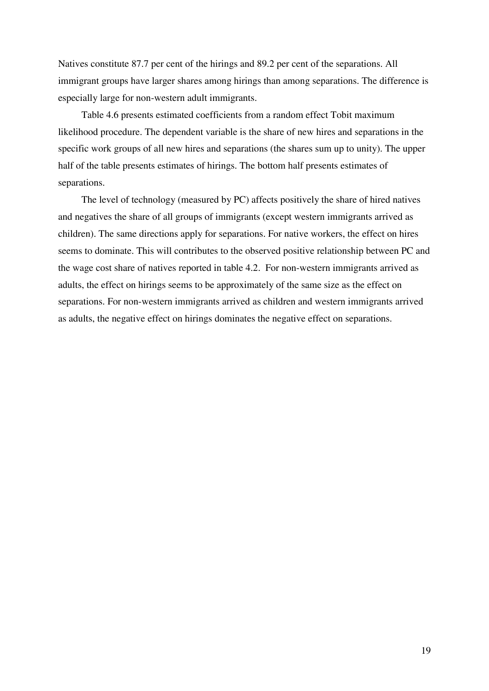Natives constitute 87.7 per cent of the hirings and 89.2 per cent of the separations. All immigrant groups have larger shares among hirings than among separations. The difference is especially large for non-western adult immigrants.

 Table 4.6 presents estimated coefficients from a random effect Tobit maximum likelihood procedure. The dependent variable is the share of new hires and separations in the specific work groups of all new hires and separations (the shares sum up to unity). The upper half of the table presents estimates of hirings. The bottom half presents estimates of separations.

 The level of technology (measured by PC) affects positively the share of hired natives and negatives the share of all groups of immigrants (except western immigrants arrived as children). The same directions apply for separations. For native workers, the effect on hires seems to dominate. This will contributes to the observed positive relationship between PC and the wage cost share of natives reported in table 4.2. For non-western immigrants arrived as adults, the effect on hirings seems to be approximately of the same size as the effect on separations. For non-western immigrants arrived as children and western immigrants arrived as adults, the negative effect on hirings dominates the negative effect on separations.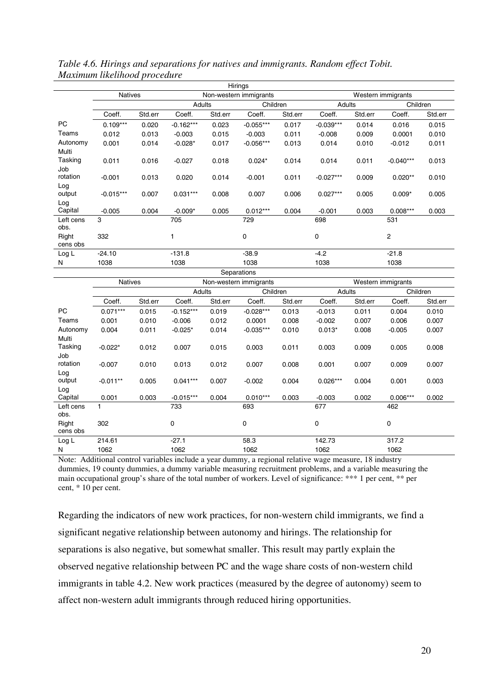|                |                |         |             |         | Hirings                |         |             |         |                    |         |
|----------------|----------------|---------|-------------|---------|------------------------|---------|-------------|---------|--------------------|---------|
|                | <b>Natives</b> |         |             |         | Non-western immigrants |         |             |         | Western immigrants |         |
|                |                |         | Adults      |         | Children               |         | Adults      |         | Children           |         |
|                | Coeff.         | Std.err | Coeff.      | Std.err | Coeff.                 | Std.err | Coeff.      | Std.err | Coeff.             | Std.err |
| <b>PC</b>      | $0.109***$     | 0.020   | $-0.162***$ | 0.023   | $-0.055***$            | 0.017   | $-0.039***$ | 0.014   | 0.016              | 0.015   |
| Teams          | 0.012          | 0.013   | $-0.003$    | 0.015   | $-0.003$               | 0.011   | $-0.008$    | 0.009   | 0.0001             | 0.010   |
| Autonomy       | 0.001          | 0.014   | $-0.028*$   | 0.017   | $-0.056***$            | 0.013   | 0.014       | 0.010   | $-0.012$           | 0.011   |
| Multi          |                |         |             |         |                        |         |             |         |                    |         |
| Tasking        | 0.011          | 0.016   | $-0.027$    | 0.018   | $0.024*$               | 0.014   | 0.014       | 0.011   | $-0.040***$        | 0.013   |
| Job            |                |         |             |         |                        |         |             |         |                    |         |
| rotation       | $-0.001$       | 0.013   | 0.020       | 0.014   | $-0.001$               | 0.011   | $-0.027***$ | 0.009   | $0.020**$          | 0.010   |
| Log            |                |         |             |         |                        |         |             |         |                    |         |
| output         | $-0.015***$    | 0.007   | $0.031***$  | 0.008   | 0.007                  | 0.006   | $0.027***$  | 0.005   | $0.009*$           | 0.005   |
| Log<br>Capital | $-0.005$       | 0.004   | $-0.009*$   | 0.005   | $0.012***$             | 0.004   | $-0.001$    | 0.003   | $0.008***$         | 0.003   |
| Left cens      | 3              |         |             |         |                        |         | 698         |         |                    |         |
| obs.           |                |         | 705         |         | 729                    |         |             |         | 531                |         |
| Right          | 332            |         |             |         | $\mathbf 0$            |         | 0           |         | $\overline{2}$     |         |
| cens obs       |                |         |             |         |                        |         |             |         |                    |         |
| Log L          | $-24.10$       |         | $-131.8$    |         | $-38.9$                |         | $-4.2$      |         | $-21.8$            |         |
| N              | 1038           |         | 1038        |         | 1038                   |         | 1038        |         | 1038               |         |
|                |                |         |             |         | Senarations            |         |             |         |                    |         |

*Table 4.6. Hirings and separations for natives and immigrants. Random effect Tobit. Maximum likelihood procedure* 

|                   | <b>Natives</b> |         |             |         | Non-western immigrants |         |             |         | Western immigrants |         |
|-------------------|----------------|---------|-------------|---------|------------------------|---------|-------------|---------|--------------------|---------|
|                   |                |         | Adults      |         | Children               |         | Adults      |         | Children           |         |
|                   | Coeff.         | Std.err | Coeff.      | Std.err | Coeff.                 | Std.err | Coeff.      | Std.err | Coeff.             | Std.err |
| <b>PC</b>         | $0.071***$     | 0.015   | $-0.152***$ | 0.019   | $-0.028***$            | 0.013   | $-0.013$    | 0.011   | 0.004              | 0.010   |
| Teams             | 0.001          | 0.010   | $-0.006$    | 0.012   | 0.0001                 | 0.008   | $-0.002$    | 0.007   | 0.006              | 0.007   |
| Autonomy          | 0.004          | 0.011   | $-0.025*$   | 0.014   | $-0.035***$            | 0.010   | $0.013*$    | 0.008   | $-0.005$           | 0.007   |
| Multi             |                |         |             |         |                        |         |             |         |                    |         |
| Tasking           | $-0.022*$      | 0.012   | 0.007       | 0.015   | 0.003                  | 0.011   | 0.003       | 0.009   | 0.005              | 0.008   |
| Job               |                |         |             |         |                        |         |             |         |                    |         |
| rotation          | $-0.007$       | 0.010   | 0.013       | 0.012   | 0.007                  | 0.008   | 0.001       | 0.007   | 0.009              | 0.007   |
| Log               |                |         |             |         |                        |         |             |         |                    |         |
| output            | $-0.011**$     | 0.005   | $0.041***$  | 0.007   | $-0.002$               | 0.004   | $0.026***$  | 0.004   | 0.001              | 0.003   |
| Log<br>Capital    |                |         |             |         |                        |         |             |         |                    |         |
|                   | 0.001          | 0.003   | $-0.015***$ | 0.004   | $0.010***$             | 0.003   | $-0.003$    | 0.002   | $0.006***$         | 0.002   |
| Left cens<br>obs. |                |         | 733         |         | 693                    |         | 677         |         | 462                |         |
| Right             | 302            |         | 0           |         | 0                      |         | $\mathbf 0$ |         | 0                  |         |
| cens obs          |                |         |             |         |                        |         |             |         |                    |         |
| Log L             | 214.61         |         | $-27.1$     |         | 58.3                   |         | 142.73      |         | 317.2              |         |
| N                 | 1062           |         | 1062        |         | 1062                   |         | 1062        |         | 1062               |         |

Note: Additional control variables include a year dummy, a regional relative wage measure, 18 industry dummies, 19 county dummies, a dummy variable measuring recruitment problems, and a variable measuring the main occupational group's share of the total number of workers. Level of significance: \*\*\* 1 per cent, \*\* per cent, \* 10 per cent.

Regarding the indicators of new work practices, for non-western child immigrants, we find a significant negative relationship between autonomy and hirings. The relationship for separations is also negative, but somewhat smaller. This result may partly explain the observed negative relationship between PC and the wage share costs of non-western child immigrants in table 4.2. New work practices (measured by the degree of autonomy) seem to affect non-western adult immigrants through reduced hiring opportunities.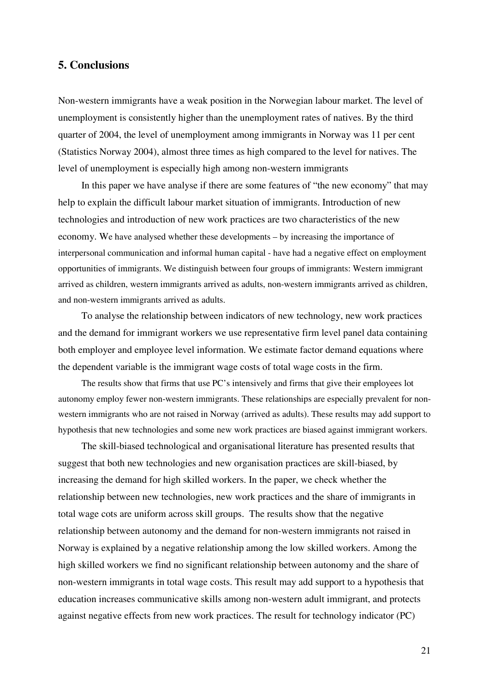# **5. Conclusions**

Non-western immigrants have a weak position in the Norwegian labour market. The level of unemployment is consistently higher than the unemployment rates of natives. By the third quarter of 2004, the level of unemployment among immigrants in Norway was 11 per cent (Statistics Norway 2004), almost three times as high compared to the level for natives. The level of unemployment is especially high among non-western immigrants

 In this paper we have analyse if there are some features of "the new economy" that may help to explain the difficult labour market situation of immigrants. Introduction of new technologies and introduction of new work practices are two characteristics of the new economy. We have analysed whether these developments – by increasing the importance of interpersonal communication and informal human capital - have had a negative effect on employment opportunities of immigrants. We distinguish between four groups of immigrants: Western immigrant arrived as children, western immigrants arrived as adults, non-western immigrants arrived as children, and non-western immigrants arrived as adults.

To analyse the relationship between indicators of new technology, new work practices and the demand for immigrant workers we use representative firm level panel data containing both employer and employee level information. We estimate factor demand equations where the dependent variable is the immigrant wage costs of total wage costs in the firm.

 The results show that firms that use PC's intensively and firms that give their employees lot autonomy employ fewer non-western immigrants. These relationships are especially prevalent for nonwestern immigrants who are not raised in Norway (arrived as adults). These results may add support to hypothesis that new technologies and some new work practices are biased against immigrant workers.

 The skill-biased technological and organisational literature has presented results that suggest that both new technologies and new organisation practices are skill-biased, by increasing the demand for high skilled workers. In the paper, we check whether the relationship between new technologies, new work practices and the share of immigrants in total wage cots are uniform across skill groups. The results show that the negative relationship between autonomy and the demand for non-western immigrants not raised in Norway is explained by a negative relationship among the low skilled workers. Among the high skilled workers we find no significant relationship between autonomy and the share of non-western immigrants in total wage costs. This result may add support to a hypothesis that education increases communicative skills among non-western adult immigrant, and protects against negative effects from new work practices. The result for technology indicator (PC)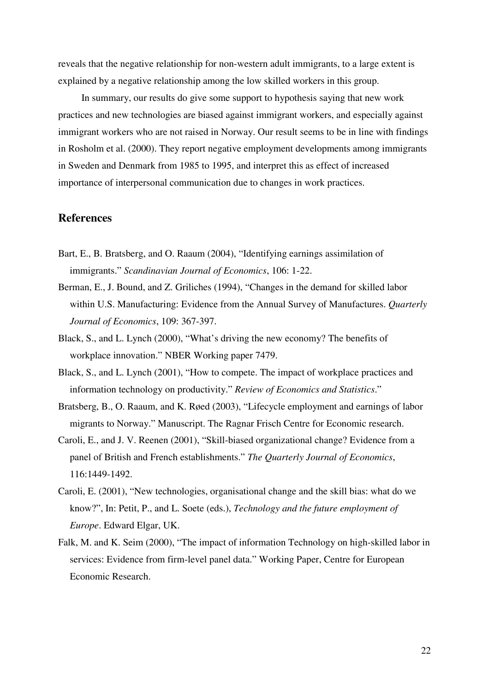reveals that the negative relationship for non-western adult immigrants, to a large extent is explained by a negative relationship among the low skilled workers in this group.

 In summary, our results do give some support to hypothesis saying that new work practices and new technologies are biased against immigrant workers, and especially against immigrant workers who are not raised in Norway. Our result seems to be in line with findings in Rosholm et al. (2000). They report negative employment developments among immigrants in Sweden and Denmark from 1985 to 1995, and interpret this as effect of increased importance of interpersonal communication due to changes in work practices.

## **References**

- Bart, E., B. Bratsberg, and O. Raaum (2004), "Identifying earnings assimilation of immigrants." *Scandinavian Journal of Economics*, 106: 1-22.
- Berman, E., J. Bound, and Z. Griliches (1994), "Changes in the demand for skilled labor within U.S. Manufacturing: Evidence from the Annual Survey of Manufactures. *Quarterly Journal of Economics*, 109: 367-397.
- Black, S., and L. Lynch (2000), "What's driving the new economy? The benefits of workplace innovation." NBER Working paper 7479.
- Black, S., and L. Lynch (2001), "How to compete. The impact of workplace practices and information technology on productivity." *Review of Economics and Statistics*."
- Bratsberg, B., O. Raaum, and K. Røed (2003), "Lifecycle employment and earnings of labor migrants to Norway." Manuscript. The Ragnar Frisch Centre for Economic research.
- Caroli, E., and J. V. Reenen (2001), "Skill-biased organizational change? Evidence from a panel of British and French establishments." *The Quarterly Journal of Economics*, 116:1449-1492.
- Caroli, E. (2001), "New technologies, organisational change and the skill bias: what do we know?", In: Petit, P., and L. Soete (eds.), *Technology and the future employment of Europe*. Edward Elgar, UK.
- Falk, M. and K. Seim (2000), "The impact of information Technology on high-skilled labor in services: Evidence from firm-level panel data." Working Paper, Centre for European Economic Research.